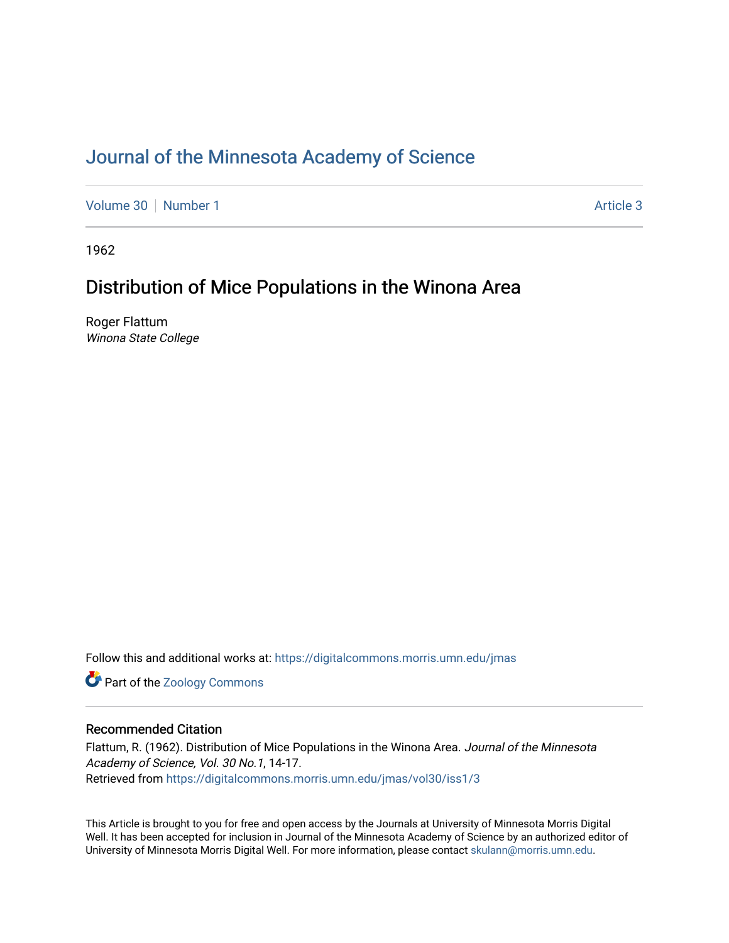## [Journal of the Minnesota Academy of Science](https://digitalcommons.morris.umn.edu/jmas)

[Volume 30](https://digitalcommons.morris.umn.edu/jmas/vol30) [Number 1](https://digitalcommons.morris.umn.edu/jmas/vol30/iss1) Article 3

1962

### Distribution of Mice Populations in the Winona Area

Roger Flattum Winona State College

Follow this and additional works at: [https://digitalcommons.morris.umn.edu/jmas](https://digitalcommons.morris.umn.edu/jmas?utm_source=digitalcommons.morris.umn.edu%2Fjmas%2Fvol30%2Fiss1%2F3&utm_medium=PDF&utm_campaign=PDFCoverPages) 

**Part of the Zoology Commons** 

### Recommended Citation

Flattum, R. (1962). Distribution of Mice Populations in the Winona Area. Journal of the Minnesota Academy of Science, Vol. 30 No.1, 14-17. Retrieved from [https://digitalcommons.morris.umn.edu/jmas/vol30/iss1/3](https://digitalcommons.morris.umn.edu/jmas/vol30/iss1/3?utm_source=digitalcommons.morris.umn.edu%2Fjmas%2Fvol30%2Fiss1%2F3&utm_medium=PDF&utm_campaign=PDFCoverPages)

This Article is brought to you for free and open access by the Journals at University of Minnesota Morris Digital Well. It has been accepted for inclusion in Journal of the Minnesota Academy of Science by an authorized editor of University of Minnesota Morris Digital Well. For more information, please contact [skulann@morris.umn.edu](mailto:skulann@morris.umn.edu).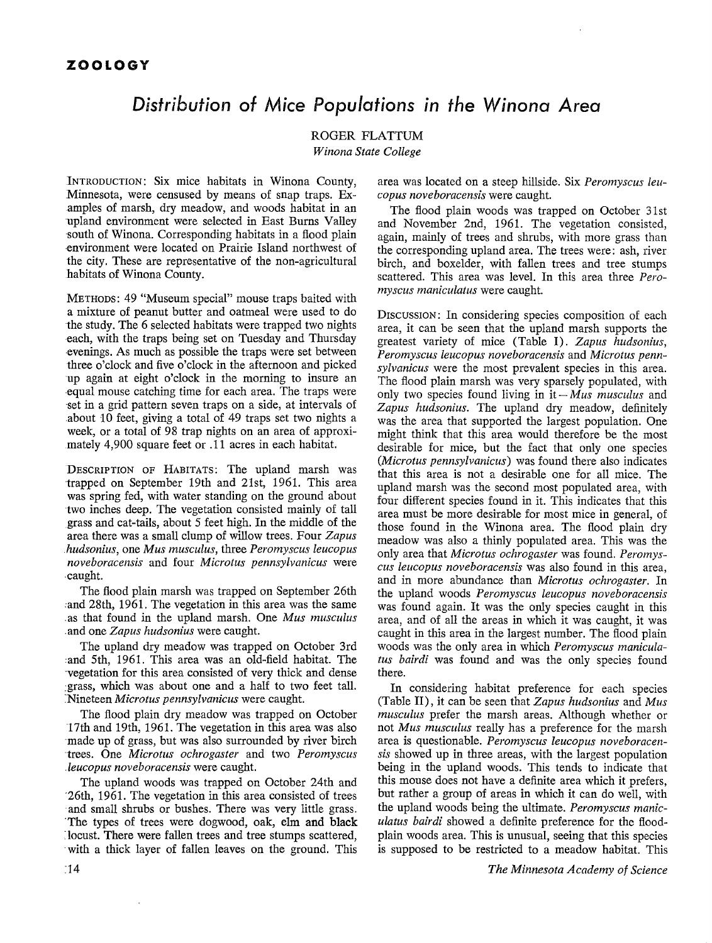## *Distribution of Mice Populations in the Winona Area*

ROGER FLATTUM *Winona State College* 

INTRODUCTION: Six mice habitats in Winona County, Minnesota, were censused by means of snap traps. Examples of marsh, dry meadow, and woods habitat in an upland environment were selected in East Burns Valley south of Winona. Corresponding habitats in a flood plain -environment were located on Prairie Island northwest of the city. These are representative of the non-agricultural habitats of Winona County.

METHODS: 49 "Museum special" mouse traps baited with a mixture of peanut butter and oatmeal were used to do the study. The 6 selected habitats were trapped two nights each, with the traps being set on Tuesday and Thursday -evenings. As much as possible the traps were set between three o'clock and five o'clock in the afternoon and picked up again at eight o'clock in the morning to insure an -equal mouse catching time for each area. The traps were ·set in a grid pattern seven traps on a side, at intervals of about  $10$  feet, giving a total of  $49$  traps set two nights a week, or a total of 98 trap nights on an area of approximately 4,900 square feet or .11 acres in each habitat.

DESCRIPTION OF HABITATS: The upland marsh was trapped on September 19th and 21st, 1961. This area was spring fed, with water standing on the ground about two inches deep. The vegetation consisted mainly of tall grass and cat-tails, about 5 feet high. In the middle of the area there was a small clump of willow trees. Four *Zapus .hudsonius,* one *Mus musculus,* three *Peromyscus leucopus noveboracensis* and four *Microtus pennsylvanicus* were caught.

The flood plain marsh was trapped on September 26th and 28th, 1961. The vegetation in this area was the same .as that found in the upland marsh. One *Mus musculus*  .and one *Zapus hudsonius* were caught.

The upland dry meadow was trapped on October 3rd and 5th, 1961. This area was an old-field habitat. The ·vegetation for this area consisted of very thick and dense : grass, which was about one and a half to two feet tall. :Nineteen *Microtus pennsylvanicus* were caught.

The flood plain dry meadow was trapped on October 17th and 19th, 1961. The vegetation in this area was also made up of grass, but was also surrounded by river birch ·trees. One *Microtus ochrogaster* and two *Peromyscus .leucopus noveboracensis* were caught.

The upland woods was trapped on October 24th and ·26th, 1961. The vegetation in this area consisted of trees and small shrubs or bushes. There was very little grass. 'The types of trees were dogwood, oak, elm **and black**  : locust. There were fallen trees and tree stumps scattered, · with a thick layer of fallen leaves on the ground. This

area was located on a steep hillside. Six *Peromyscus leucopus noveboracensis* were caught.

The flood plain woods was trapped on October 31st and November 2nd, 1961. The vegetation consisted, again, mainly of trees and shrubs, with more grass than the corresponding upland area. The trees were: ash, river birch, and boxelder, with fallen trees and tree stumps scattered. This area was level. In this area three *Peromyscus maniculatus* were caught.

Discussion: In considering species composition of each area, it can be seen that the upland marsh supports the greatest variety of mice (Table I). *Zapus hudsonius, Peromyscus leucopus noveboracensis* and *Microtus pennsylvanicus* were the most prevalent species in this area. The flood plain marsh was very sparsely populated, with only two species found living in it- *Mus musculus* and *Zapus hudsonius.* The upland dry meadow, definitely was the area that supported the largest population. One might think that this area would therefore be the most desirable for mice, but the fact that only one species *(Microtus pennsylvanicus)* was found there also indicates that this area is not a desirable one for all mice. The upland marsh was the second most populated area, with four different species found in it. This indicates that this area must be more desirable for most mice in general, of those found in the Winona area. The flood plain dry meadow was also a thinly populated area. This was the only area that *Microtus ochrogaster* was found. *Peromyscus leucopus noveboracensis* was also found in this area, and in more abundance than *Microtus ochrogaster.* In the upland woods *Peromyscus leucopus noveboracensis*  was found again. It was the only species caught in this area, and of all the areas in which it was caught, it was caught in this area in the largest number. The flood plain woods was the only area in which *Peromyscus maniculatus bairdi* was found and was the only species found there.

In considering habitat preference for each species (Table II), it can be seen that *Zapus hudsonius* and *Mus musculus* prefer the marsh areas. Although whether or not *Mus musculus* really has a preference for the marsh area is questionable. *Peromyscus leucopus noveboracensis* showed up in three areas, with the largest population being in the upland woods. This tends to indicate that this mouse does not have a definite area which it prefers, but rather a group of areas in which it can do well, with the upland woods being the ultimate. *Peromyscus maniculatus bairdi* showed a definite preference for the floodplain woods area. This is unusual, seeing that this species is supposed to be restricted to a meadow habitat. This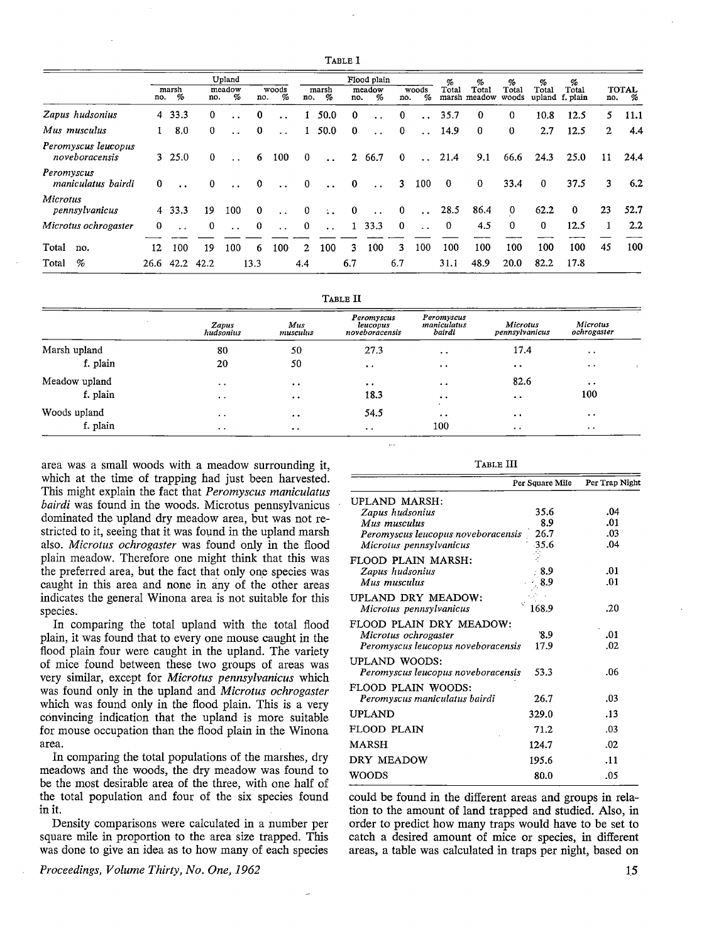|                                       |          |            |          | Upland               |                |                      |              |                      |          | Flood plain          |              |                      | %            | %                     | %              | %               | %                 |                       |                   |
|---------------------------------------|----------|------------|----------|----------------------|----------------|----------------------|--------------|----------------------|----------|----------------------|--------------|----------------------|--------------|-----------------------|----------------|-----------------|-------------------|-----------------------|-------------------|
|                                       | no.      | marsh<br>% | no.      | meadow<br>%          | no.            | woods<br>%           | no.          | marsh<br>%           | no.      | meadow<br>%          | no.          | woods<br>%           | Total        | Total<br>marsh meadow | Total<br>woods | Total<br>upland | Total<br>f. plain | no.                   | <b>TOTAL</b><br>% |
| Zapus hudsonius                       | 4        | 33.3       | $\bf{0}$ |                      | $\bf{0}$       | $\ddot{\phantom{0}}$ |              | 50.0                 | $\bf{0}$ |                      | $\bf{0}$     | $\ddot{\phantom{a}}$ | 35.7         | $\bf{0}$              | 0              | 10.8            | 12.5              | 5.                    | 11.1              |
| Mus musculus                          |          | 8.0        | 0        |                      | $\bf{0}$       | $\sim$ $\sim$        |              | 50.0                 | $\bf{0}$ | $\ddot{\phantom{0}}$ | $\bf{0}$     | $\ddotsc$            | 14.9         | $\bf{0}$              | $\mathbf{0}$   | 2.7             | 12.5              | $\mathbf{2}^{\prime}$ | 4.4               |
| Peromyscus leucopus<br>noveboracensis |          | 3, 25.0    | $\bf{0}$ | $\ddot{\phantom{a}}$ | 6              | 100                  | $\mathbf{0}$ | $\ddot{\phantom{a}}$ |          | 2 66.7               | $\bf{0}$     | $\ddot{\phantom{a}}$ | 21.4         | 9.1                   | 66.6           | 24.3            | 25.0              | 11                    | 24.4              |
| Peromyscus<br>maniculatus bairdi      | $\bf{0}$ |            | $\bf{0}$ |                      | $\Omega$       | $\ddot{\phantom{0}}$ | $\mathbf{0}$ | $\ddot{\phantom{0}}$ | $\bf{0}$ | $\ddotsc$            | $\mathbf{3}$ | 100                  | $\mathbf{0}$ | $\bf{0}$              | 33.4           | $\bf{0}$        | 37.5              | 3                     | 6.2               |
| Microtus<br>pennsylvanicus            |          | 4 33.3     | 19       | 100                  | $\bf{0}$       | $\ddot{\phantom{0}}$ | $\bf{0}$     | $\sim$ $\sim$        | $\bf{0}$ | $\ddot{\phantom{0}}$ | $\bf{0}$     | $\ddotsc$            | 28.5         | 86.4                  | $\bf{0}$       | 62.2            | $\bf{0}$          | 23                    | 52.7              |
| Microtus ochrogaster                  | 0        |            | $\bf{0}$ | $\ddot{\phantom{a}}$ | $\overline{0}$ | $\ddot{\phantom{0}}$ | $\mathbf{0}$ | $\ddot{\phantom{0}}$ |          | 1 33.3               | $\mathbf{0}$ | $\sim$               | $\mathbf{0}$ | 4.5                   | $\bf{0}$       | $\mathbf{0}$    | 12.5              |                       | $2.2\phantom{0}$  |
| Total<br>no.                          | 12       | 100        | 19       | 100                  | 6              | 100                  | $\mathbf{2}$ | 100                  | 3        | 100                  | 3            | 100                  | 100          | 100                   | 100            | 100             | 100               | 45                    | 100               |
| %<br>Total                            |          | 26.6 42.2  | 42.2     |                      | 13.3           |                      | 4.4          |                      | 6.7      |                      | 6.7          |                      | 31.1         | 48.9                  | 20.0           | 82.2            | 17.8              |                       |                   |

|               |                       |                        | TABLE II                                 |                                              |                            |                         |  |
|---------------|-----------------------|------------------------|------------------------------------------|----------------------------------------------|----------------------------|-------------------------|--|
|               | Zapus<br>hudsonius    | Mus<br>musculus        | Peromyscus<br>leucopus<br>noveboracensis | Peromyscus<br>maniculatus<br>bairdi          | Microtus<br>pennsylvanicus | Microtus<br>ochrogaster |  |
| Marsh upland  | 80                    | 50                     | 27.3                                     | $\bullet\hspace{0.4mm}\bullet\hspace{0.4mm}$ | 17.4                       | $\ddot{\phantom{1}}$    |  |
| f. plain      | 20                    | 50                     | $\bullet$                                | $\cdot$ $\cdot$                              | $\bullet$ $\bullet$        | $\bullet$ $\bullet$     |  |
| Meadow upland | $\ddot{\phantom{a}}$  | $\bullet\quad \bullet$ | $\bullet$                                | $\cdot$ .                                    | 82.6                       | $\bullet$ $\bullet$     |  |
| f. plain      | $\bullet$ $\bullet$   | $\cdot$                | 18.3                                     | $\cdots$                                     | $\cdot$ .                  | 100                     |  |
| Woods upland  | $\ddot{\phantom{1}}$  | $\cdot$ .              | 54.5                                     | $\cdot$<br>$\cdot$                           | $\bullet$ $\bullet$        | $\ddot{\phantom{1}}$    |  |
| f. plain      | $\bullet$ . $\bullet$ | $\cdot$                | $\bullet$ $\bullet$                      | 100                                          | $\cdot$ $\cdot$            | $\bullet$ $\bullet$     |  |

L.

area was a small woods with a meadow surrounding it, which at the time of trapping had just been harvested. This might explain the fact that *Peromyscus maniculatus bairdi* was found in the woods. Microtus pennsylvanicus dominated the upland dry meadow area, but was not restricted to it, seeing that it was found in the upland marsh also. *Microtus ochrogaster* was found only in the flood plain meadow. Therefore one might think that this was the preferred area, but the fact that only one species was caught in this area and none in any of the other areas indicates the general Winona area is not suitable for this species.

In comparing the total upland with the total flood plain, it was found that to every one mouse caught in the flood plain four were caught in the upland. The variety of mice found between these two groups of areas was very similar, except for *Microtus pennsylvanicus* which was found only in the upland and *Microtus ochrogaster*  which was found only in the flood plain. This is a very convincing indication that the upland is more suitable for mouse occupation than the flood plain in the Winona area.

In comparing the total populations of the marshes, dry meadows and the woods, the dry meadow was found to be the most desirable area of the three, with one half of the total population and four of the six species found in it.

Density comparisons were calculated in a number per square mile in proportion to the area size trapped. This was done to give an idea as to how many of each species

*Proceedings, Volume Thirty, No. One, 1962* 

| RT.<br>о |  |
|----------|--|
|----------|--|

|                                    | Per Square Mile | Per Trap Night |
|------------------------------------|-----------------|----------------|
| UPLAND MARSH:                      |                 |                |
| Zapus hudsonius                    | 35.6            | .04            |
| Mus musculus                       | 8.9             | .01            |
| Peromyscus leucopus noveboracensis | 26.7            | .03            |
| Microtus pennsylvanicus            | 35.6            | .04            |
| FLOOD PLAIN MARSH:                 |                 |                |
| Zapus hudsonius                    | 8.9             | .01            |
| Mus musculus                       | 8.9             | .01            |
| UPLAND DRY MEADOW:                 |                 |                |
| Microtus pennsylvanicus            | 168.9           | .20            |
| FLOOD PLAIN DRY MEADOW:            |                 |                |
| Microtus ochrogaster               | 8.9             | .01            |
| Peromyscus leucopus noveboracensis | 17.9            | .02            |
| <b>UPLAND WOODS:</b>               |                 |                |
| Peromyscus leucopus noveboracensis | 53.3            | .06            |
| FLOOD PLAIN WOODS:                 |                 |                |
| Peromyscus maniculatus bairdi      | 26.7            | .03            |
| <b>UPLAND</b>                      | 329.0           | .13            |
| FLOOD PLAIN                        | 71.2            | .03            |
| <b>MARSH</b>                       | 124.7           | .02            |
| DRY MEADOW                         | 195.6           | .11            |
| WOODS                              | 80.0            | .05            |

could be found in the different areas and groups in relation to the amount of land trapped and studied. Also, in order to predict how many traps would have to be set to catch a desired amount of mice or species, in different areas, a table was calculated in traps per night, based on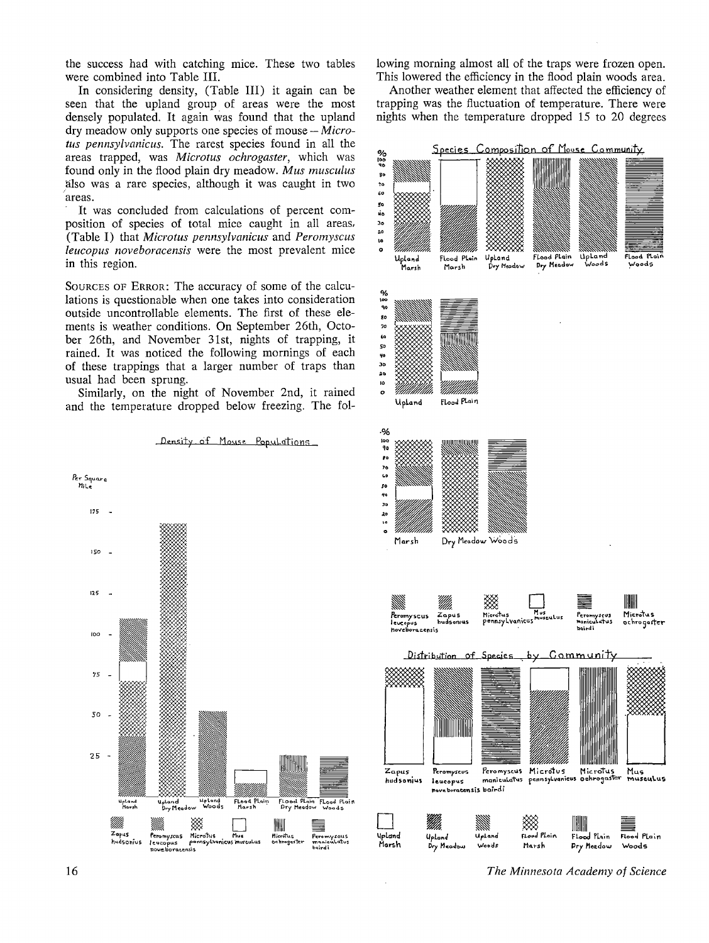the success had with catching mice. These two tables were combined into Table III.

In considering density, (Table III) it again can be seen that the upland group of areas were the most denselv populated. It again was found that the upland dry meadow only supports one species of mouse - Microtus pennsylvanicus. The rarest species found in all the areas trapped, was Microtus ochrogaster, which was found only in the flood plain dry meadow. Mus musculus also was a rare species, although it was caught in two areas.

It was concluded from calculations of percent composition of species of total mice caught in all areas, (Table I) that Microtus pennsylvanicus and Peromyscus leucopus noveboracensis were the most prevalent mice in this region.

SOURCES OF ERROR: The accuracy of some of the calculations is questionable when one takes into consideration outside uncontrollable elements. The first of these elements is weather conditions. On September 26th, October 26th, and November 31st, nights of trapping, it rained. It was noticed the following mornings of each of these trappings that a larger number of traps than usual had been sprung.

Similarly, on the night of November 2nd, it rained and the temperature dropped below freezing. The fol-



Density of Mouse Populations

lowing morning almost all of the traps were frozen open. This lowered the efficiency in the flood plain woods area.

Another weather element that affected the efficiency of trapping was the fluctuation of temperature. There were nights when the temperature dropped 15 to 20 degrees



The Minnesota Academy of Science